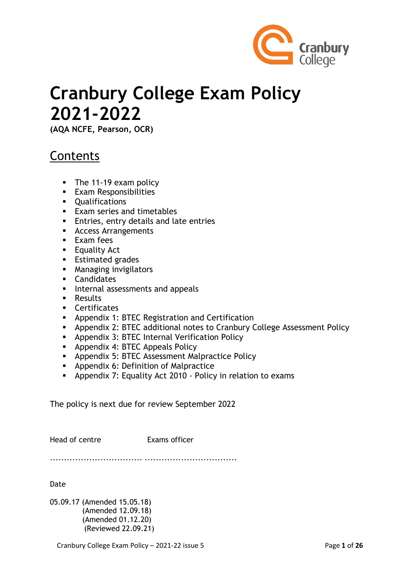

# **Cranbury College Exam Policy 2021-2022**

**(AQA NCFE, Pearson, OCR)**

# Contents

- The 11-19 exam policy
- Exam Responsibilities
- Qualifications
- Exam series and timetables
- Entries, entry details and late entries
- Access Arrangements
- Exam fees
- **Equality Act**
- Estimated grades
- Managing invigilators
- Candidates
- Internal assessments and appeals
- Results
- Certificates
- **E** Appendix 1: BTEC Registration and Certification
- **EXEDENDIX 2: BTEC additional notes to Cranbury College Assessment Policy**
- Appendix 3: BTEC Internal Verification Policy
- **E** Appendix 4: BTEC Appeals Policy
- **EXECUTE: Appendix 5: BTEC Assessment Malpractice Policy**
- **EXEDED** Appendix 6: Definition of Malpractice
- Appendix 7: Equality Act 2010 Policy in relation to exams

The policy is next due for review September 2022

Head of centre Exams officer

................................. .................................

Date

05.09.17 (Amended 15.05.18) (Amended 12.09.18) (Amended 01.12.20) (Reviewed 22.09.21)

Cranbury College Exam Policy – 2021-22 issue 5 Page **1** of **26**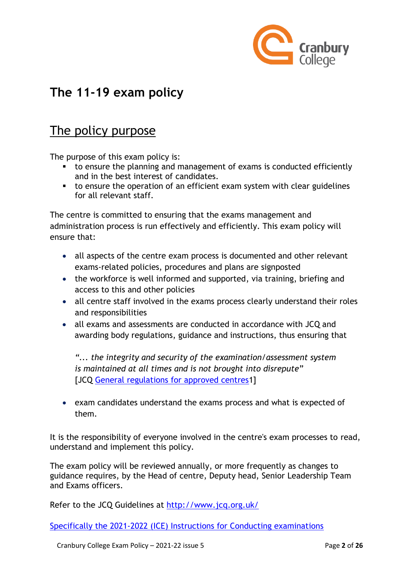

# **The 11-19 exam policy**

# The policy purpose

The purpose of this exam policy is:

- to ensure the planning and management of exams is conducted efficiently and in the best interest of candidates.
- to ensure the operation of an efficient exam system with clear guidelines for all relevant staff.

The centre is committed to ensuring that the exams management and administration process is run effectively and efficiently. This exam policy will ensure that:

- all aspects of the centre exam process is documented and other relevant exams-related policies, procedures and plans are signposted
- the workforce is well informed and supported, via training, briefing and access to this and other policies
- all centre staff involved in the exams process clearly understand their roles and responsibilities
- all exams and assessments are conducted in accordance with JCQ and awarding body regulations, guidance and instructions, thus ensuring that

*"... the integrity and security of the examination/assessment system is maintained at all times and is not brought into disrepute*" [JCQ [General regulations for approved centres1](http://www.jcq.org.uk/exams-office/general-regulations)]

• exam candidates understand the exams process and what is expected of them.

It is the responsibility of everyone involved in the centre's exam processes to read, understand and implement this policy.

The exam policy will be reviewed annually, or more frequently as changes to guidance requires, by the Head of centre, Deputy head, Senior Leadership Team and Exams officers.

Refer to the JCQ Guidelines at<http://www.jcq.org.uk/>

Specifically the 2021-2022 [\(ICE\) Instructions for Conducting examinations](https://www.jcq.org.uk/wp-content/uploads/2022/01/ICE_21-22_FINAL.pdf)

Cranbury College Exam Policy – 2021-22 issue 5 Page 2 of 26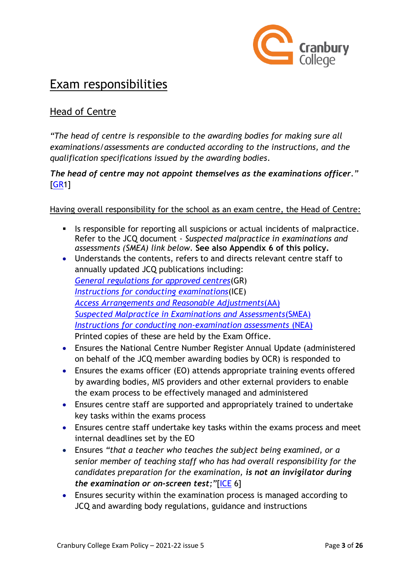

# Exam responsibilities

# Head of Centre

*"The head of centre is responsible to the awarding bodies for making sure all examinations/assessments are conducted according to the instructions, and the qualification specifications issued by the awarding bodies*.

## *The head of centre may not appoint themselves as the examinations officer."*  [\[GR1](http://www.jcq.org.uk/exams-office/general-regulations)]

Having overall responsibility for the school as an exam centre, the Head of Centre:

- **EXP** Is responsible for reporting all suspicions or actual incidents of malpractice. Refer to the JCQ document - *Suspected malpractice in examinations and assessments (SMEA) link below*. **See also Appendix 6 of this policy.**
- Understands the contents, refers to and directs relevant centre staff to annually updated JCQ publications including: *[General regulations for approved centres](http://www.jcq.org.uk/exams-office/general-regulations)*(GR) *[Instructions for conducting examinations](http://www.jcq.org.uk/exams-office/ice---instructions-for-conducting-examinations)*(ICE) *[Access Arrangements and Reasonable Adjustments](http://www.jcq.org.uk/exams-office/access-arrangements-and-special-consideration/regulations-and-guidance)*(AA) *[Suspected Malpractice in Examinations and Assessments](http://www.jcq.org.uk/exams-office/malpractice)*(SMEA) *[Instructions for conducting non-examination assessments](http://www.jcq.org.uk/exams-office/non-examination-assessments)* (NEA) Printed copies of these are held by the Exam Office.
- Ensures the National Centre Number Register Annual Update (administered on behalf of the JCQ member awarding bodies by OCR) is responded to
- Ensures the exams officer (EO) attends appropriate training events offered by awarding bodies, MIS providers and other external providers to enable the exam process to be effectively managed and administered
- Ensures centre staff are supported and appropriately trained to undertake key tasks within the exams process
- Ensures centre staff undertake key tasks within the exams process and meet internal deadlines set by the EO
- Ensures *"that a teacher who teaches the subject being examined, or a senior member of teaching staff who has had overall responsibility for the candidates preparation for the examination, is not an invigilator during the examination or on-screen test;"*[\[ICE](http://www.jcq.org.uk/exams-office/ice---instructions-for-conducting-examinations) 6]
- Ensures security within the examination process is managed according to JCQ and awarding body regulations, guidance and instructions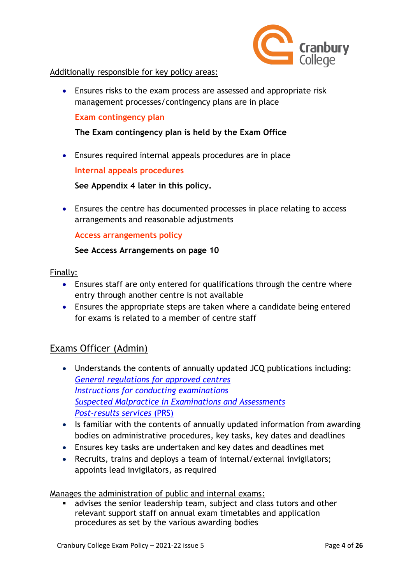

#### Additionally responsible for key policy areas:

• Ensures risks to the exam process are assessed and appropriate risk management processes/contingency plans are in place

#### **Exam contingency plan**

#### **The Exam contingency plan is held by the Exam Office**

• Ensures required internal appeals procedures are in place

**Internal appeals procedures**

**See Appendix 4 later in this policy.**

• Ensures the centre has documented processes in place relating to access arrangements and reasonable adjustments

**Access arrangements policy**

#### **See Access Arrangements on page 10**

Finally:

- Ensures staff are only entered for qualifications through the centre where entry through another centre is not available
- Ensures the appropriate steps are taken where a candidate being entered for exams is related to a member of centre staff

# Exams Officer (Admin)

- Understands the contents of annually updated JCQ publications including: *[General regulations for approved centres](http://www.jcq.org.uk/exams-office/general-regulations) [Instructions for conducting examinations](http://www.jcq.org.uk/exams-office/ice---instructions-for-conducting-examinations) [Suspected Malpractice in Examinations and Assessments](http://www.jcq.org.uk/exams-office/malpractice) [Post-results services](http://www.jcq.org.uk/exams-office/post-results-services)* (PRS)
- Is familiar with the contents of annually updated information from awarding bodies on administrative procedures, key tasks, key dates and deadlines
- Ensures key tasks are undertaken and key dates and deadlines met
- Recruits, trains and deploys a team of internal/external invigilators; appoints lead invigilators, as required

Manages the administration of public and internal exams:

advises the senior leadership team, subject and class tutors and other relevant support staff on annual exam timetables and application procedures as set by the various awarding bodies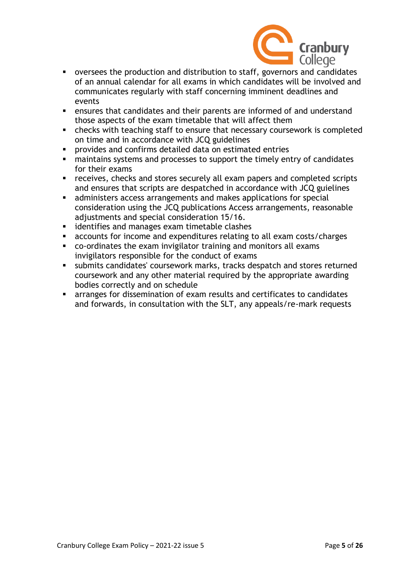

- oversees the production and distribution to staff, governors and candidates of an annual calendar for all exams in which candidates will be involved and communicates regularly with staff concerning imminent deadlines and events
- ensures that candidates and their parents are informed of and understand those aspects of the exam timetable that will affect them
- checks with teaching staff to ensure that necessary coursework is completed on time and in accordance with JCQ guidelines
- **•** provides and confirms detailed data on estimated entries
- maintains systems and processes to support the timely entry of candidates for their exams
- receives, checks and stores securely all exam papers and completed scripts and ensures that scripts are despatched in accordance with JCQ guielines
- administers access arrangements and makes applications for special consideration using the JCQ publications Access arrangements, reasonable adjustments and special consideration 15/16.
- identifies and manages exam timetable clashes
- accounts for income and expenditures relating to all exam costs/charges
- co-ordinates the exam invigilator training and monitors all exams invigilators responsible for the conduct of exams
- submits candidates' coursework marks, tracks despatch and stores returned coursework and any other material required by the appropriate awarding bodies correctly and on schedule
- arranges for dissemination of exam results and certificates to candidates and forwards, in consultation with the SLT, any appeals/re-mark requests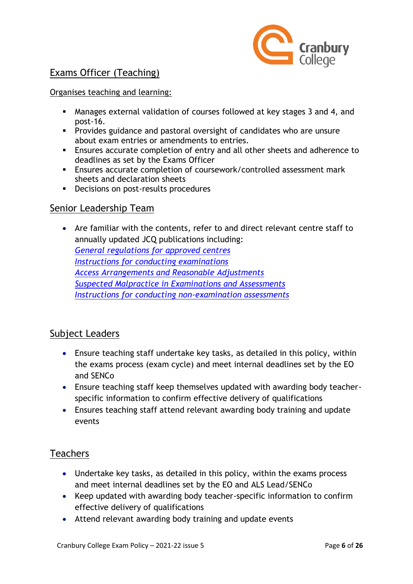

# Exams Officer (Teaching)

#### Organises teaching and learning:

- Manages external validation of courses followed at key stages 3 and 4, and post-16.
- **•** Provides guidance and pastoral oversight of candidates who are unsure about exam entries or amendments to entries.
- Ensures accurate completion of entry and all other sheets and adherence to deadlines as set by the Exams Officer
- Ensures accurate completion of coursework/controlled assessment mark sheets and declaration sheets
- Decisions on post-results procedures

# Senior Leadership Team

• Are familiar with the contents, refer to and direct relevant centre staff to annually updated JCQ publications including: *[General regulations for approved centres](http://www.jcq.org.uk/exams-office/general-regulations) [Instructions for conducting examinations](http://www.jcq.org.uk/exams-office/ice---instructions-for-conducting-examinations) [Access Arrangements and Reasonable Adjustments](http://www.jcq.org.uk/exams-office/access-arrangements-and-special-consideration/regulations-and-guidance) [Suspected Malpractice in Examinations and Assessments](http://www.jcq.org.uk/exams-office/malpractice) [Instructions for conducting non-examination assessments](http://www.jcq.org.uk/exams-office/non-examination-assessments)*

# Subject Leaders

- Ensure teaching staff undertake key tasks, as detailed in this policy, within the exams process (exam cycle) and meet internal deadlines set by the EO and SENCo
- Ensure teaching staff keep themselves updated with awarding body teacherspecific information to confirm effective delivery of qualifications
- Ensures teaching staff attend relevant awarding body training and update events

# **Teachers**

- Undertake key tasks, as detailed in this policy, within the exams process and meet internal deadlines set by the EO and ALS Lead/SENCo
- Keep updated with awarding body teacher-specific information to confirm effective delivery of qualifications
- Attend relevant awarding body training and update events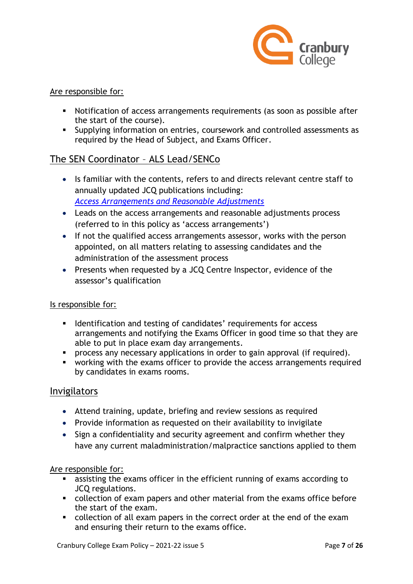

#### Are responsible for:

- Notification of access arrangements requirements (as soon as possible after the start of the course).
- Supplying information on entries, coursework and controlled assessments as required by the Head of Subject, and Exams Officer.

# The SEN Coordinator – ALS Lead/SENCo

- Is familiar with the contents, refers to and directs relevant centre staff to annually updated JCQ publications including: *[Access Arrangements and Reasonable Adjustments](http://www.jcq.org.uk/exams-office/access-arrangements-and-special-consideration/regulations-and-guidance)*
- Leads on the access arrangements and reasonable adjustments process (referred to in this policy as 'access arrangements')
- If not the qualified access arrangements assessor, works with the person appointed, on all matters relating to assessing candidates and the administration of the assessment process
- Presents when requested by a JCQ Centre Inspector, evidence of the assessor's qualification

#### Is responsible for:

- Identification and testing of candidates' requirements for access arrangements and notifying the Exams Officer in good time so that they are able to put in place exam day arrangements.
- **•** process any necessary applications in order to gain approval (if required).
- working with the exams officer to provide the access arrangements required by candidates in exams rooms.

#### Invigilators

- Attend training, update, briefing and review sessions as required
- Provide information as requested on their availability to invigilate
- Sign a confidentiality and security agreement and confirm whether they have any current maladministration/malpractice sanctions applied to them

Are responsible for:

- **EXE** assisting the exams officer in the efficient running of exams according to JCQ regulations.
- collection of exam papers and other material from the exams office before the start of the exam.
- collection of all exam papers in the correct order at the end of the exam and ensuring their return to the exams office.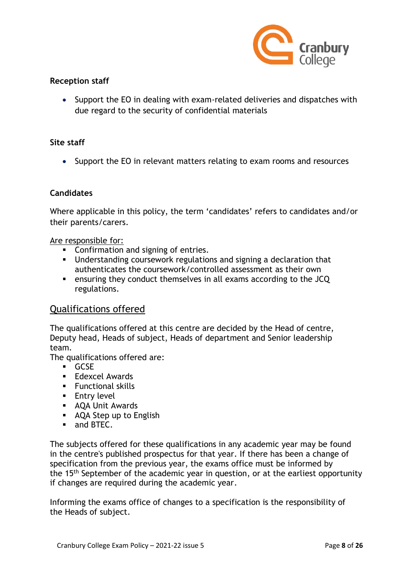

#### **Reception staff**

• Support the EO in dealing with exam-related deliveries and dispatches with due regard to the security of confidential materials

#### **Site staff**

• Support the EO in relevant matters relating to exam rooms and resources

#### **Candidates**

Where applicable in this policy, the term 'candidates' refers to candidates and/or their parents/carers.

Are responsible for:

- Confirmation and signing of entries.
- Understanding coursework regulations and signing a declaration that authenticates the coursework/controlled assessment as their own
- ensuring they conduct themselves in all exams according to the JCQ regulations.

#### Qualifications offered

The qualifications offered at this centre are decided by the Head of centre, Deputy head, Heads of subject, Heads of department and Senior leadership team.

The qualifications offered are:

- GCSE
- Edexcel Awards
- Functional skills
- **Entry level**
- AQA Unit Awards
- AQA Step up to English
- and BTEC.

The subjects offered for these qualifications in any academic year may be found in the centre's published prospectus for that year. If there has been a change of specification from the previous year, the exams office must be informed by the 15th September of the academic year in question, or at the earliest opportunity if changes are required during the academic year.

Informing the exams office of changes to a specification is the responsibility of the Heads of subject.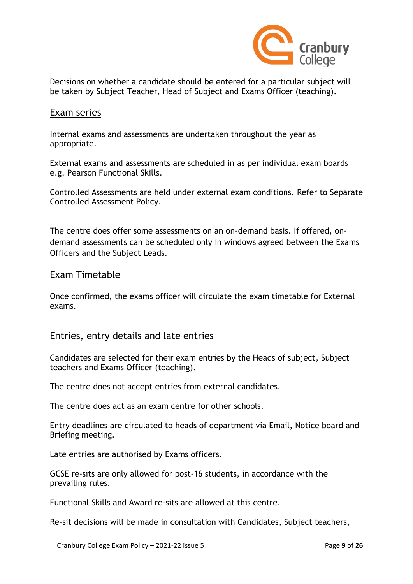

Decisions on whether a candidate should be entered for a particular subject will be taken by Subject Teacher, Head of Subject and Exams Officer (teaching).

#### Exam series

Internal exams and assessments are undertaken throughout the year as appropriate.

External exams and assessments are scheduled in as per individual exam boards e.g. Pearson Functional Skills.

Controlled Assessments are held under external exam conditions. Refer to Separate Controlled Assessment Policy.

The centre does offer some assessments on an on-demand basis. If offered, ondemand assessments can be scheduled only in windows agreed between the Exams Officers and the Subject Leads*.*

#### Exam Timetable

Once confirmed, the exams officer will circulate the exam timetable for External exams.

#### Entries, entry details and late entries

Candidates are selected for their exam entries by the Heads of subject, Subject teachers and Exams Officer (teaching).

The centre does not accept entries from external candidates.

The centre does act as an exam centre for other schools.

Entry deadlines are circulated to heads of department via Email, Notice board and Briefing meeting.

Late entries are authorised by Exams officers.

GCSE re-sits are only allowed for post-16 students, in accordance with the prevailing rules.

Functional Skills and Award re-sits are allowed at this centre.

Re-sit decisions will be made in consultation with Candidates, Subject teachers,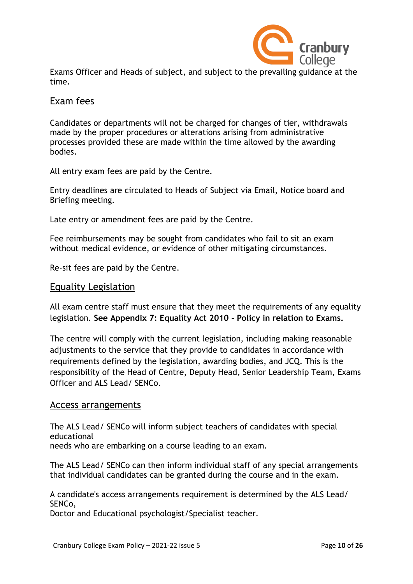

Exams Officer and Heads of subject, and subject to the prevailing guidance at the time.

#### Exam fees

Candidates or departments will not be charged for changes of tier, withdrawals made by the proper procedures or alterations arising from administrative processes provided these are made within the time allowed by the awarding bodies.

All entry exam fees are paid by the Centre.

Entry deadlines are circulated to Heads of Subject via Email, Notice board and Briefing meeting.

Late entry or amendment fees are paid by the Centre.

Fee reimbursements may be sought from candidates who fail to sit an exam without medical evidence, or evidence of other mitigating circumstances.

Re-sit fees are paid by the Centre.

#### Equality Legislation

All exam centre staff must ensure that they meet the requirements of any equality legislation. **See Appendix 7: Equality Act 2010 - Policy in relation to Exams.**

The centre will comply with the current legislation, including making reasonable adjustments to the service that they provide to candidates in accordance with requirements defined by the legislation, awarding bodies, and JCQ. This is the responsibility of the Head of Centre, Deputy Head, Senior Leadership Team, Exams Officer and ALS Lead/ SENCo.

#### Access arrangements

The ALS Lead/ SENCo will inform subject teachers of candidates with special educational

needs who are embarking on a course leading to an exam.

The ALS Lead/ SENCo can then inform individual staff of any special arrangements that individual candidates can be granted during the course and in the exam.

A candidate's access arrangements requirement is determined by the ALS Lead/ SENCo,

Doctor and Educational psychologist/Specialist teacher.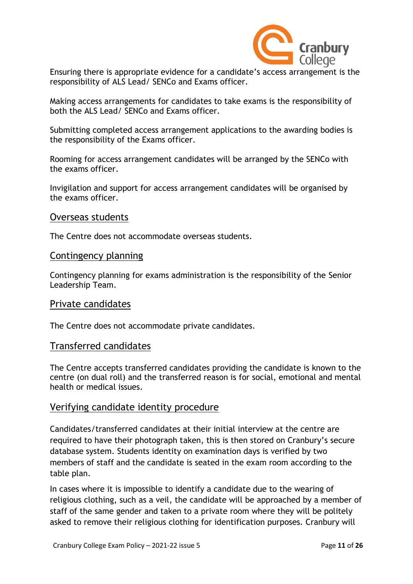

Ensuring there is appropriate evidence for a candidate's access arrangement is the responsibility of ALS Lead/ SENCo and Exams officer.

Making access arrangements for candidates to take exams is the responsibility of both the ALS Lead/ SENCo and Exams officer.

Submitting completed access arrangement applications to the awarding bodies is the responsibility of the Exams officer.

Rooming for access arrangement candidates will be arranged by the SENCo with the exams officer.

Invigilation and support for access arrangement candidates will be organised by the exams officer.

#### Overseas students

The Centre does not accommodate overseas students.

#### Contingency planning

Contingency planning for exams administration is the responsibility of the Senior Leadership Team.

#### Private candidates

The Centre does not accommodate private candidates.

#### Transferred candidates

The Centre accepts transferred candidates providing the candidate is known to the centre (on dual roll) and the transferred reason is for social, emotional and mental health or medical issues.

#### Verifying candidate identity procedure

Candidates/transferred candidates at their initial interview at the centre are required to have their photograph taken, this is then stored on Cranbury's secure database system. Students identity on examination days is verified by two members of staff and the candidate is seated in the exam room according to the table plan.

In cases where it is impossible to identify a candidate due to the wearing of religious clothing, such as a veil, the candidate will be approached by a member of staff of the same gender and taken to a private room where they will be politely asked to remove their religious clothing for identification purposes. Cranbury will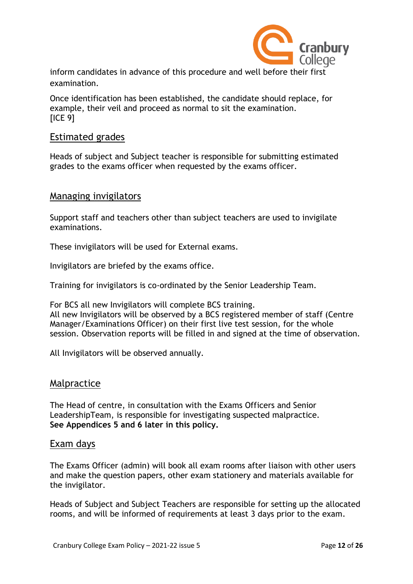

inform candidates in advance of this procedure and well before their first examination.

Once identification has been established, the candidate should replace, for example, their veil and proceed as normal to sit the examination. **IICE 91** 

### Estimated grades

Heads of subject and Subject teacher is responsible for submitting estimated grades to the exams officer when requested by the exams officer.

#### Managing invigilators

Support staff and teachers other than subject teachers are used to invigilate examinations.

These invigilators will be used for External exams.

Invigilators are briefed by the exams office.

Training for invigilators is co-ordinated by the Senior Leadership Team.

For BCS all new Invigilators will complete BCS training.

All new Invigilators will be observed by a BCS registered member of staff (Centre Manager/Examinations Officer) on their first live test session, for the whole session. Observation reports will be filled in and signed at the time of observation.

All Invigilators will be observed annually.

#### **Malpractice**

The Head of centre, in consultation with the Exams Officers and Senior LeadershipTeam, is responsible for investigating suspected malpractice. **See Appendices 5 and 6 later in this policy.**

#### Exam days

The Exams Officer (admin) will book all exam rooms after liaison with other users and make the question papers, other exam stationery and materials available for the invigilator.

Heads of Subject and Subject Teachers are responsible for setting up the allocated rooms, and will be informed of requirements at least 3 days prior to the exam.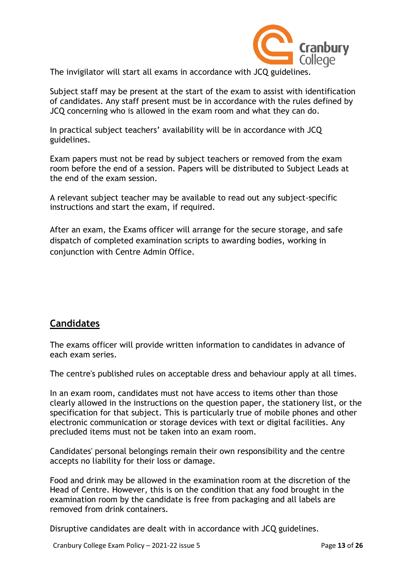

The invigilator will start all exams in accordance with JCQ guidelines.

Subject staff may be present at the start of the exam to assist with identification of candidates. Any staff present must be in accordance with the rules defined by JCQ concerning who is allowed in the exam room and what they can do.

In practical subject teachers' availability will be in accordance with JCQ guidelines.

Exam papers must not be read by subject teachers or removed from the exam room before the end of a session. Papers will be distributed to Subject Leads at the end of the exam session.

A relevant subject teacher may be available to read out any subject-specific instructions and start the exam, if required.

After an exam, the Exams officer will arrange for the secure storage, and safe dispatch of completed examination scripts to awarding bodies, working in conjunction with Centre Admin Office.

# **Candidates**

The exams officer will provide written information to candidates in advance of each exam series.

The centre's published rules on acceptable dress and behaviour apply at all times.

In an exam room, candidates must not have access to items other than those clearly allowed in the instructions on the question paper, the stationery list, or the specification for that subject. This is particularly true of mobile phones and other electronic communication or storage devices with text or digital facilities. Any precluded items must not be taken into an exam room.

Candidates' personal belongings remain their own responsibility and the centre accepts no liability for their loss or damage.

Food and drink may be allowed in the examination room at the discretion of the Head of Centre. However, this is on the condition that any food brought in the examination room by the candidate is free from packaging and all labels are removed from drink containers.

Disruptive candidates are dealt with in accordance with JCQ guidelines.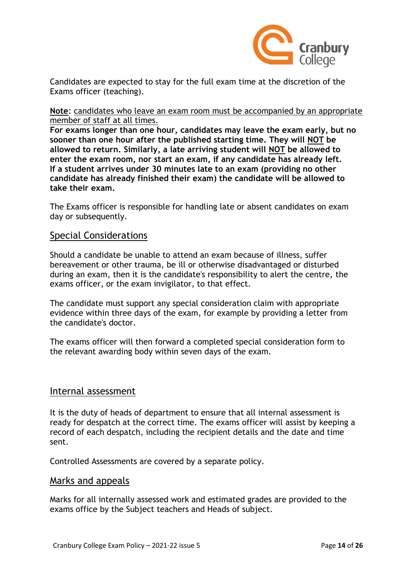

Candidates are expected to stay for the full exam time at the discretion of the Exams officer (teaching).

**Note**: candidates who leave an exam room must be accompanied by an appropriate member of staff at all times.

**For exams longer than one hour, candidates may leave the exam early, but no sooner than one hour after the published starting time. They will NOT be allowed to return. Similarly, a late arriving student will NOT be allowed to enter the exam room, nor start an exam, if any candidate has already left. If a student arrives under 30 minutes late to an exam (providing no other candidate has already finished their exam) the candidate will be allowed to take their exam.**

The Exams officer is responsible for handling late or absent candidates on exam day or subsequently.

### Special Considerations

Should a candidate be unable to attend an exam because of illness, suffer bereavement or other trauma, be ill or otherwise disadvantaged or disturbed during an exam, then it is the candidate's responsibility to alert the centre, the exams officer, or the exam invigilator, to that effect.

The candidate must support any special consideration claim with appropriate evidence within three days of the exam, for example by providing a letter from the candidate's doctor.

The exams officer will then forward a completed special consideration form to the relevant awarding body within seven days of the exam.

#### Internal assessment

It is the duty of heads of department to ensure that all internal assessment is ready for despatch at the correct time. The exams officer will assist by keeping a record of each despatch, including the recipient details and the date and time sent.

Controlled Assessments are covered by a separate policy.

#### Marks and appeals

Marks for all internally assessed work and estimated grades are provided to the exams office by the Subject teachers and Heads of subject.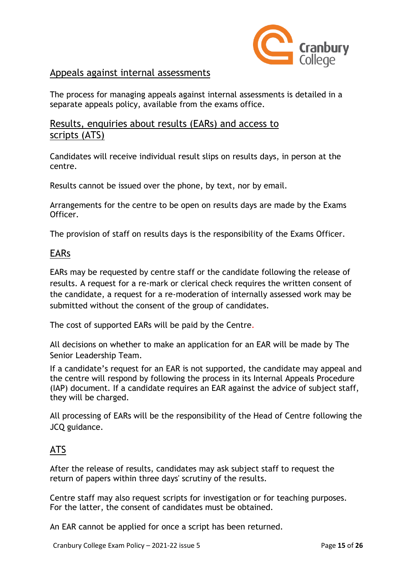

### Appeals against internal assessments

The process for managing appeals against internal assessments is detailed in a separate appeals policy, available from the exams office.

# Results, enquiries about results (EARs) and access to scripts (ATS)

Candidates will receive individual result slips on results days, in person at the centre.

Results cannot be issued over the phone, by text, nor by email.

Arrangements for the centre to be open on results days are made by the Exams Officer.

The provision of staff on results days is the responsibility of the Exams Officer.

### EARs

EARs may be requested by centre staff or the candidate following the release of results. A request for a re-mark or clerical check requires the written consent of the candidate, a request for a re-moderation of internally assessed work may be submitted without the consent of the group of candidates.

The cost of supported EARs will be paid by the Centre*.*

All decisions on whether to make an application for an EAR will be made by The Senior Leadership Team.

If a candidate's request for an EAR is not supported, the candidate may appeal and the centre will respond by following the process in its Internal Appeals Procedure (IAP) document. If a candidate requires an EAR against the advice of subject staff, they will be charged.

All processing of EARs will be the responsibility of the Head of Centre following the JCQ guidance.

# ATS

After the release of results, candidates may ask subject staff to request the return of papers within three days' scrutiny of the results.

Centre staff may also request scripts for investigation or for teaching purposes. For the latter, the consent of candidates must be obtained.

An EAR cannot be applied for once a script has been returned.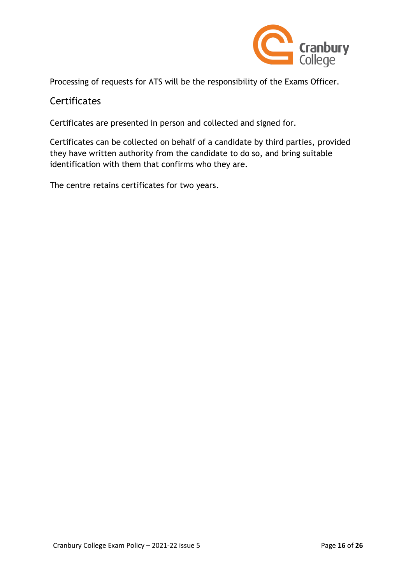

Processing of requests for ATS will be the responsibility of the Exams Officer.

# **Certificates**

Certificates are presented in person and collected and signed for.

Certificates can be collected on behalf of a candidate by third parties, provided they have written authority from the candidate to do so, and bring suitable identification with them that confirms who they are.

The centre retains certificates for two years.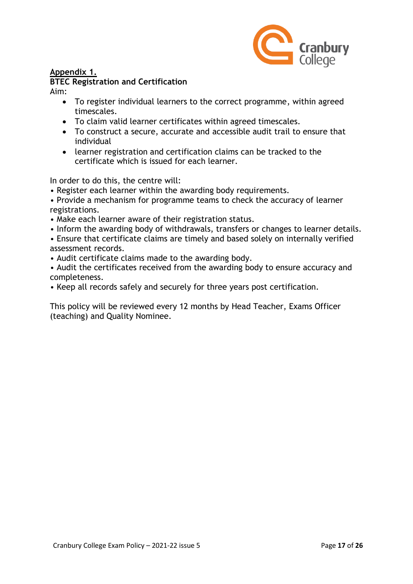

#### **Appendix 1.**

**BTEC Registration and Certification**

Aim:

- To register individual learners to the correct programme, within agreed timescales.
- To claim valid learner certificates within agreed timescales.
- To construct a secure, accurate and accessible audit trail to ensure that individual
- learner registration and certification claims can be tracked to the certificate which is issued for each learner.

In order to do this, the centre will:

• Register each learner within the awarding body requirements.

• Provide a mechanism for programme teams to check the accuracy of learner registrations.

- Make each learner aware of their registration status.
- Inform the awarding body of withdrawals, transfers or changes to learner details.
- Ensure that certificate claims are timely and based solely on internally verified assessment records.
- Audit certificate claims made to the awarding body.
- Audit the certificates received from the awarding body to ensure accuracy and completeness.
- Keep all records safely and securely for three years post certification.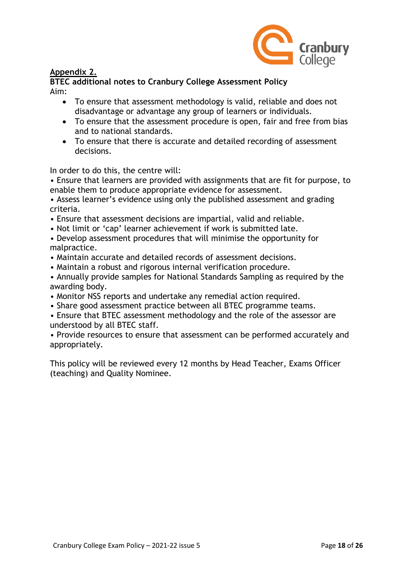

#### **Appendix 2.**

**BTEC additional notes to Cranbury College Assessment Policy** Aim:

- To ensure that assessment methodology is valid, reliable and does not disadvantage or advantage any group of learners or individuals.
- To ensure that the assessment procedure is open, fair and free from bias and to national standards.
- To ensure that there is accurate and detailed recording of assessment decisions.

In order to do this, the centre will:

• Ensure that learners are provided with assignments that are fit for purpose, to enable them to produce appropriate evidence for assessment.

• Assess learner's evidence using only the published assessment and grading criteria.

- Ensure that assessment decisions are impartial, valid and reliable.
- Not limit or 'cap' learner achievement if work is submitted late.

• Develop assessment procedures that will minimise the opportunity for malpractice.

- Maintain accurate and detailed records of assessment decisions.
- Maintain a robust and rigorous internal verification procedure.
- Annually provide samples for National Standards Sampling as required by the awarding body.
- Monitor NSS reports and undertake any remedial action required.
- Share good assessment practice between all BTEC programme teams.

• Ensure that BTEC assessment methodology and the role of the assessor are understood by all BTEC staff.

• Provide resources to ensure that assessment can be performed accurately and appropriately.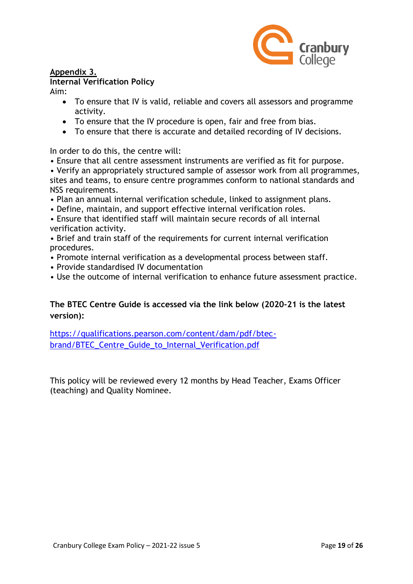

#### **Appendix 3. Internal Verification Policy**

Aim:

- To ensure that IV is valid, reliable and covers all assessors and programme activity.
- To ensure that the IV procedure is open, fair and free from bias.
- To ensure that there is accurate and detailed recording of IV decisions.

In order to do this, the centre will:

- Ensure that all centre assessment instruments are verified as fit for purpose.
- Verify an appropriately structured sample of assessor work from all programmes, sites and teams, to ensure centre programmes conform to national standards and NSS requirements.
- Plan an annual internal verification schedule, linked to assignment plans.
- Define, maintain, and support effective internal verification roles.

• Ensure that identified staff will maintain secure records of all internal verification activity.

• Brief and train staff of the requirements for current internal verification procedures.

- Promote internal verification as a developmental process between staff.
- Provide standardised IV documentation
- Use the outcome of internal verification to enhance future assessment practice.

#### **The BTEC Centre Guide is accessed via the link below (2020-21 is the latest version):**

[https://qualifications.pearson.com/content/dam/pdf/btec](https://qualifications.pearson.com/content/dam/pdf/BTEC-Firsts/news/btec-centre-guide-to-quality-assurance.pdf)[brand/BTEC\\_Centre\\_Guide\\_to\\_Internal\\_Verification.pdf](https://qualifications.pearson.com/content/dam/pdf/BTEC-Firsts/news/btec-centre-guide-to-quality-assurance.pdf)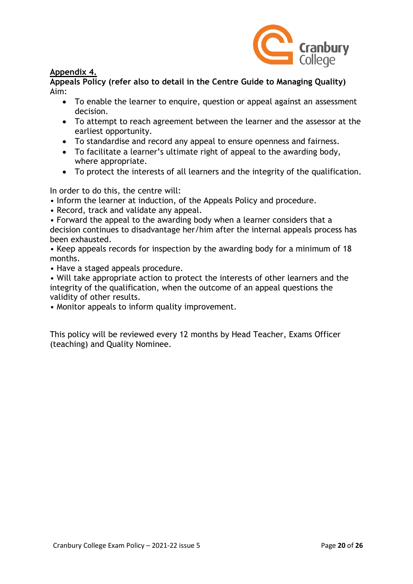

#### **Appendix 4.**

**Appeals Policy (refer also to detail in the Centre Guide to Managing Quality)** Aim:

- To enable the learner to enquire, question or appeal against an assessment decision.
- To attempt to reach agreement between the learner and the assessor at the earliest opportunity.
- To standardise and record any appeal to ensure openness and fairness.
- To facilitate a learner's ultimate right of appeal to the awarding body, where appropriate.
- To protect the interests of all learners and the integrity of the qualification.

In order to do this, the centre will:

- Inform the learner at induction, of the Appeals Policy and procedure.
- Record, track and validate any appeal.
- Forward the appeal to the awarding body when a learner considers that a

decision continues to disadvantage her/him after the internal appeals process has been exhausted.

• Keep appeals records for inspection by the awarding body for a minimum of 18 months.

• Have a staged appeals procedure.

• Will take appropriate action to protect the interests of other learners and the integrity of the qualification, when the outcome of an appeal questions the validity of other results.

• Monitor appeals to inform quality improvement.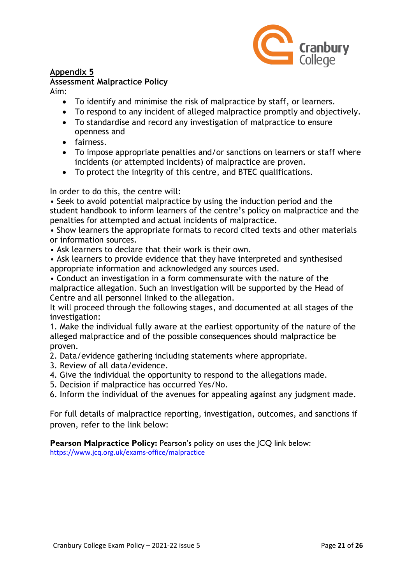

#### **Appendix 5**

#### **Assessment Malpractice Policy**

Aim:

- To identify and minimise the risk of malpractice by staff, or learners.
- To respond to any incident of alleged malpractice promptly and objectively.
- To standardise and record any investigation of malpractice to ensure openness and
- fairness.
- To impose appropriate penalties and/or sanctions on learners or staff where incidents (or attempted incidents) of malpractice are proven.
- To protect the integrity of this centre, and BTEC qualifications.

In order to do this, the centre will:

• Seek to avoid potential malpractice by using the induction period and the student handbook to inform learners of the centre's policy on malpractice and the penalties for attempted and actual incidents of malpractice.

• Show learners the appropriate formats to record cited texts and other materials or information sources.

• Ask learners to declare that their work is their own.

• Ask learners to provide evidence that they have interpreted and synthesised appropriate information and acknowledged any sources used.

• Conduct an investigation in a form commensurate with the nature of the malpractice allegation. Such an investigation will be supported by the Head of Centre and all personnel linked to the allegation.

It will proceed through the following stages, and documented at all stages of the investigation:

1. Make the individual fully aware at the earliest opportunity of the nature of the alleged malpractice and of the possible consequences should malpractice be proven.

- 2. Data/evidence gathering including statements where appropriate.
- 3. Review of all data/evidence.
- 4. Give the individual the opportunity to respond to the allegations made.
- 5. Decision if malpractice has occurred Yes/No.
- 6. Inform the individual of the avenues for appealing against any judgment made.

For full details of malpractice reporting, investigation, outcomes, and sanctions if proven, refer to the link below:

**Pearson Malpractice Policy:** Pearson's policy on uses the JCQ link below: <https://www.jcq.org.uk/exams-office/malpractice>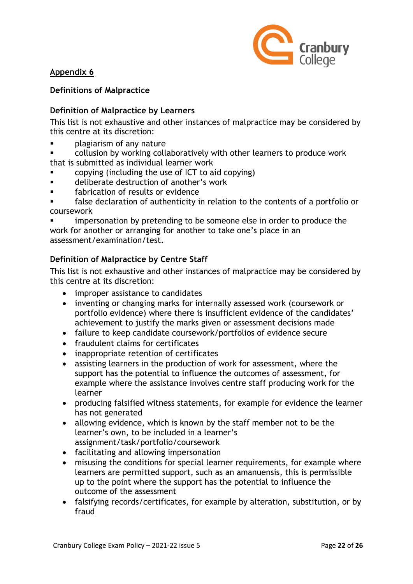

**Appendix 6**

#### **Definitions of Malpractice**

#### **Definition of Malpractice by Learners**

This list is not exhaustive and other instances of malpractice may be considered by this centre at its discretion:

- plagiarism of any nature
- collusion by working collaboratively with other learners to produce work that is submitted as individual learner work
- copying (including the use of ICT to aid copying)
- deliberate destruction of another's work
- fabrication of results or evidence
- false declaration of authenticity in relation to the contents of a portfolio or coursework

impersonation by pretending to be someone else in order to produce the work for another or arranging for another to take one's place in an assessment/examination/test.

#### **Definition of Malpractice by Centre Staff**

This list is not exhaustive and other instances of malpractice may be considered by this centre at its discretion:

- improper assistance to candidates
- inventing or changing marks for internally assessed work (coursework or portfolio evidence) where there is insufficient evidence of the candidates' achievement to justify the marks given or assessment decisions made
- failure to keep candidate coursework/portfolios of evidence secure
- fraudulent claims for certificates
- inappropriate retention of certificates
- assisting learners in the production of work for assessment, where the support has the potential to influence the outcomes of assessment, for example where the assistance involves centre staff producing work for the learner
- producing falsified witness statements, for example for evidence the learner has not generated
- allowing evidence, which is known by the staff member not to be the learner's own, to be included in a learner's assignment/task/portfolio/coursework
- facilitating and allowing impersonation
- misusing the conditions for special learner requirements, for example where learners are permitted support, such as an amanuensis, this is permissible up to the point where the support has the potential to influence the outcome of the assessment
- falsifying records/certificates, for example by alteration, substitution, or by fraud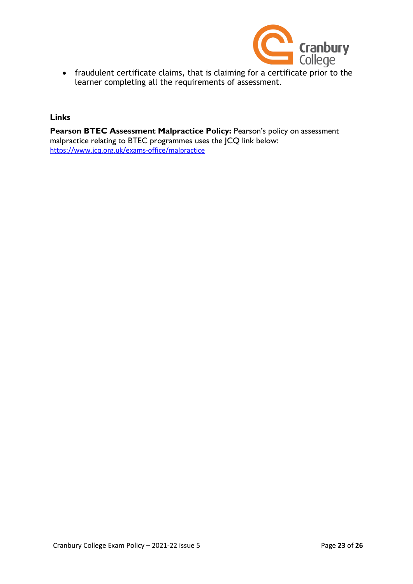

• fraudulent certificate claims, that is claiming for a certificate prior to the learner completing all the requirements of assessment.

#### **Links**

**Pearson BTEC Assessment Malpractice Policy:** Pearson's policy on assessment malpractice relating to BTEC programmes uses the JCQ link below: <https://www.jcq.org.uk/exams-office/malpractice>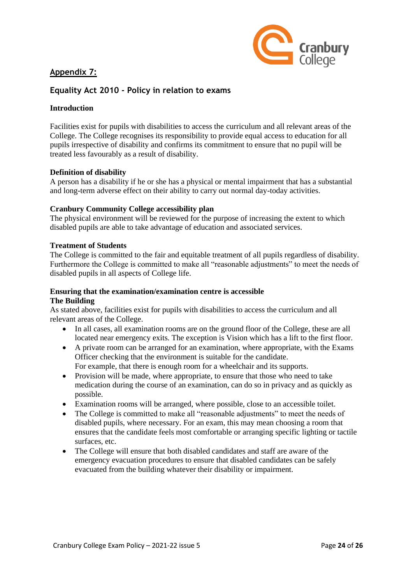#### **Appendix 7:**



#### **Equality Act 2010 - Policy in relation to exams**

#### **Introduction**

Facilities exist for pupils with disabilities to access the curriculum and all relevant areas of the College. The College recognises its responsibility to provide equal access to education for all pupils irrespective of disability and confirms its commitment to ensure that no pupil will be treated less favourably as a result of disability.

#### **Definition of disability**

A person has a disability if he or she has a physical or mental impairment that has a substantial and long-term adverse effect on their ability to carry out normal day-today activities.

#### **Cranbury Community College accessibility plan**

The physical environment will be reviewed for the purpose of increasing the extent to which disabled pupils are able to take advantage of education and associated services.

#### **Treatment of Students**

The College is committed to the fair and equitable treatment of all pupils regardless of disability. Furthermore the College is committed to make all "reasonable adjustments" to meet the needs of disabled pupils in all aspects of College life.

#### **Ensuring that the examination/examination centre is accessible The Building**

As stated above, facilities exist for pupils with disabilities to access the curriculum and all relevant areas of the College.

- In all cases, all examination rooms are on the ground floor of the College, these are all located near emergency exits. The exception is Vision which has a lift to the first floor.
- A private room can be arranged for an examination, where appropriate, with the Exams Officer checking that the environment is suitable for the candidate. For example, that there is enough room for a wheelchair and its supports.
- Provision will be made, where appropriate, to ensure that those who need to take medication during the course of an examination, can do so in privacy and as quickly as possible.
- Examination rooms will be arranged, where possible, close to an accessible toilet.
- The College is committed to make all "reasonable adjustments" to meet the needs of disabled pupils, where necessary. For an exam, this may mean choosing a room that ensures that the candidate feels most comfortable or arranging specific lighting or tactile surfaces, etc.
- The College will ensure that both disabled candidates and staff are aware of the emergency evacuation procedures to ensure that disabled candidates can be safely evacuated from the building whatever their disability or impairment.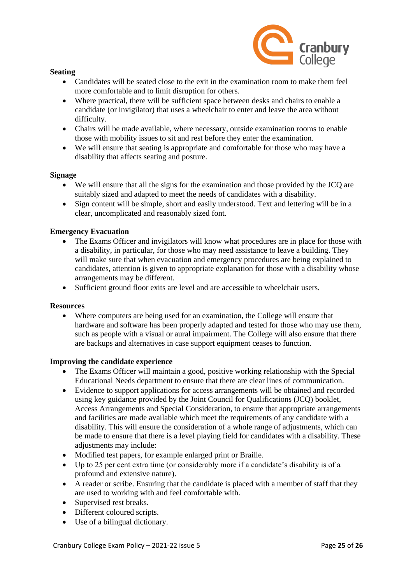

#### **Seating**

- Candidates will be seated close to the exit in the examination room to make them feel more comfortable and to limit disruption for others.
- Where practical, there will be sufficient space between desks and chairs to enable a candidate (or invigilator) that uses a wheelchair to enter and leave the area without difficulty.
- Chairs will be made available, where necessary, outside examination rooms to enable those with mobility issues to sit and rest before they enter the examination.
- We will ensure that seating is appropriate and comfortable for those who may have a disability that affects seating and posture.

#### **Signage**

- We will ensure that all the signs for the examination and those provided by the JCQ are suitably sized and adapted to meet the needs of candidates with a disability.
- Sign content will be simple, short and easily understood. Text and lettering will be in a clear, uncomplicated and reasonably sized font.

#### **Emergency Evacuation**

- The Exams Officer and invigilators will know what procedures are in place for those with a disability, in particular, for those who may need assistance to leave a building. They will make sure that when evacuation and emergency procedures are being explained to candidates, attention is given to appropriate explanation for those with a disability whose arrangements may be different.
- Sufficient ground floor exits are level and are accessible to wheelchair users.

#### **Resources**

• Where computers are being used for an examination, the College will ensure that hardware and software has been properly adapted and tested for those who may use them, such as people with a visual or aural impairment. The College will also ensure that there are backups and alternatives in case support equipment ceases to function.

#### **Improving the candidate experience**

- The Exams Officer will maintain a good, positive working relationship with the Special Educational Needs department to ensure that there are clear lines of communication.
- Evidence to support applications for access arrangements will be obtained and recorded using key guidance provided by the Joint Council for Qualifications (JCQ) booklet, Access Arrangements and Special Consideration, to ensure that appropriate arrangements and facilities are made available which meet the requirements of any candidate with a disability. This will ensure the consideration of a whole range of adjustments, which can be made to ensure that there is a level playing field for candidates with a disability. These adjustments may include:
- Modified test papers, for example enlarged print or Braille.
- Up to 25 per cent extra time (or considerably more if a candidate's disability is of a profound and extensive nature).
- A reader or scribe. Ensuring that the candidate is placed with a member of staff that they are used to working with and feel comfortable with.
- Supervised rest breaks.
- Different coloured scripts.
- Use of a bilingual dictionary.